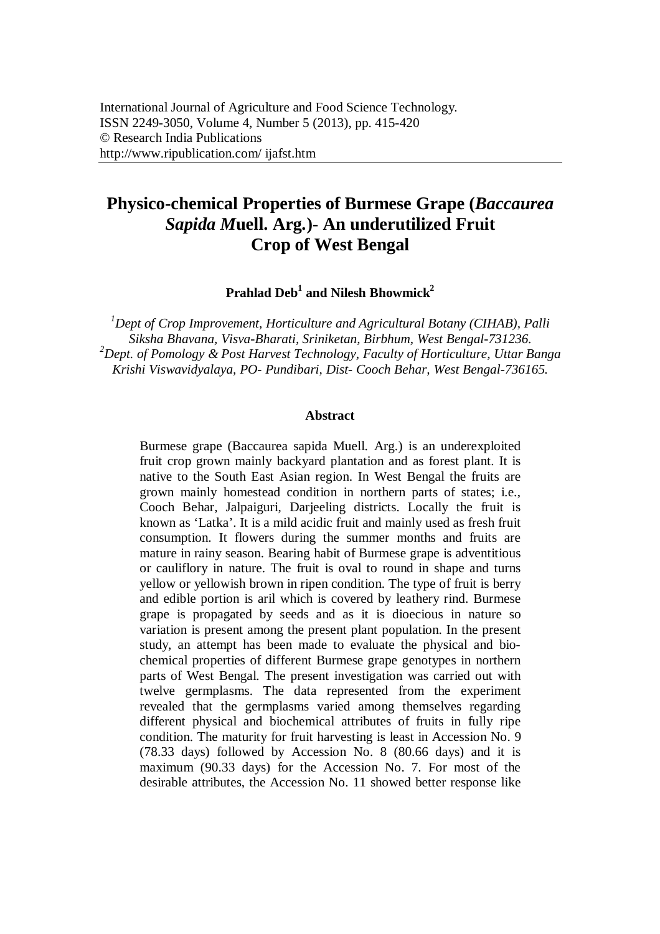# **Physico-chemical Properties of Burmese Grape (***Baccaurea Sapida M***uell. Arg***.***)- An underutilized Fruit Crop of West Bengal**

**Prahlad Deb<sup>1</sup> and Nilesh Bhowmick<sup>2</sup>**

*<sup>1</sup>Dept of Crop Improvement, Horticulture and Agricultural Botany (CIHAB), Palli Siksha Bhavana, Visva-Bharati, Sriniketan, Birbhum, West Bengal-731236. <sup>2</sup>Dept. of Pomology & Post Harvest Technology, Faculty of Horticulture, Uttar Banga Krishi Viswavidyalaya, PO- Pundibari, Dist- Cooch Behar, West Bengal-736165.*

#### **Abstract**

Burmese grape (Baccaurea sapida Muell. Arg.) is an underexploited fruit crop grown mainly backyard plantation and as forest plant. It is native to the South East Asian region. In West Bengal the fruits are grown mainly homestead condition in northern parts of states; i.e., Cooch Behar, Jalpaiguri, Darjeeling districts. Locally the fruit is known as 'Latka'. It is a mild acidic fruit and mainly used as fresh fruit consumption. It flowers during the summer months and fruits are mature in rainy season. Bearing habit of Burmese grape is adventitious or cauliflory in nature. The fruit is oval to round in shape and turns yellow or yellowish brown in ripen condition. The type of fruit is berry and edible portion is aril which is covered by leathery rind. Burmese grape is propagated by seeds and as it is dioecious in nature so variation is present among the present plant population. In the present study, an attempt has been made to evaluate the physical and biochemical properties of different Burmese grape genotypes in northern parts of West Bengal. The present investigation was carried out with twelve germplasms. The data represented from the experiment revealed that the germplasms varied among themselves regarding different physical and biochemical attributes of fruits in fully ripe condition. The maturity for fruit harvesting is least in Accession No. 9 (78.33 days) followed by Accession No. 8 (80.66 days) and it is maximum (90.33 days) for the Accession No. 7. For most of the desirable attributes, the Accession No. 11 showed better response like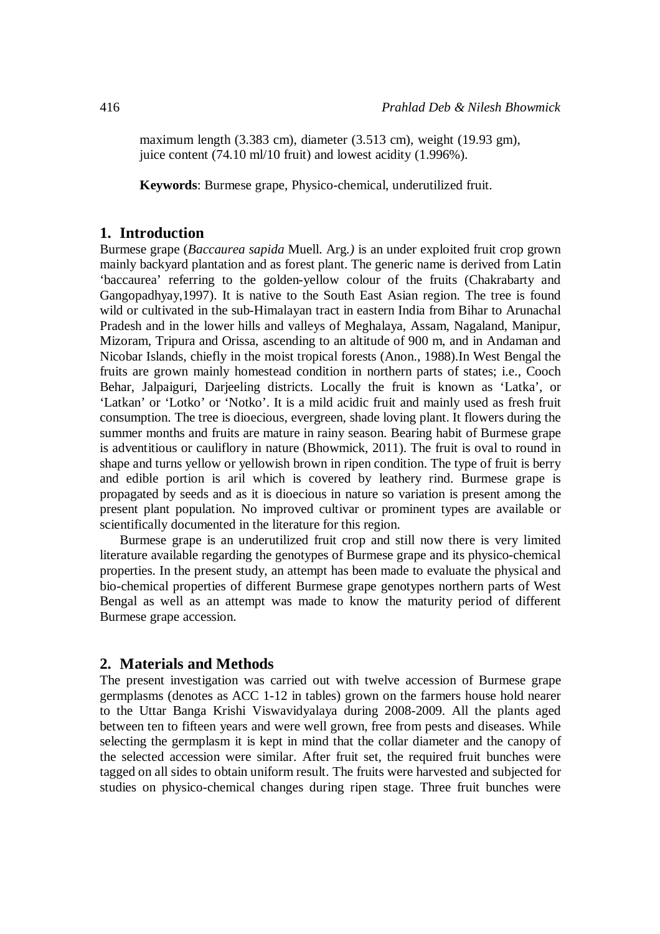maximum length (3.383 cm), diameter (3.513 cm), weight (19.93 gm), juice content (74.10 ml/10 fruit) and lowest acidity (1.996%).

**Keywords**: Burmese grape, Physico-chemical, underutilized fruit.

### **1. Introduction**

Burmese grape (*Baccaurea sapida* Muell. Arg*.)* is an under exploited fruit crop grown mainly backyard plantation and as forest plant. The generic name is derived from Latin 'baccaurea' referring to the golden-yellow colour of the fruits (Chakrabarty and Gangopadhyay,1997). It is native to the South East Asian region. The tree is found wild or cultivated in the sub-Himalayan tract in eastern India from Bihar to Arunachal Pradesh and in the lower hills and valleys of Meghalaya, Assam, Nagaland, Manipur, Mizoram, Tripura and Orissa, ascending to an altitude of 900 m, and in Andaman and Nicobar Islands, chiefly in the moist tropical forests (Anon., 1988).In West Bengal the fruits are grown mainly homestead condition in northern parts of states; i.e., Cooch Behar, Jalpaiguri, Darjeeling districts. Locally the fruit is known as 'Latka', or 'Latkan' or 'Lotko' or 'Notko'. It is a mild acidic fruit and mainly used as fresh fruit consumption. The tree is dioecious, evergreen, shade loving plant. It flowers during the summer months and fruits are mature in rainy season. Bearing habit of Burmese grape is adventitious or cauliflory in nature (Bhowmick, 2011). The fruit is oval to round in shape and turns yellow or yellowish brown in ripen condition. The type of fruit is berry and edible portion is aril which is covered by leathery rind. Burmese grape is propagated by seeds and as it is dioecious in nature so variation is present among the present plant population. No improved cultivar or prominent types are available or scientifically documented in the literature for this region.

Burmese grape is an underutilized fruit crop and still now there is very limited literature available regarding the genotypes of Burmese grape and its physico-chemical properties. In the present study, an attempt has been made to evaluate the physical and bio-chemical properties of different Burmese grape genotypes northern parts of West Bengal as well as an attempt was made to know the maturity period of different Burmese grape accession.

### **2. Materials and Methods**

The present investigation was carried out with twelve accession of Burmese grape germplasms (denotes as ACC 1-12 in tables) grown on the farmers house hold nearer to the Uttar Banga Krishi Viswavidyalaya during 2008-2009. All the plants aged between ten to fifteen years and were well grown, free from pests and diseases. While selecting the germplasm it is kept in mind that the collar diameter and the canopy of the selected accession were similar. After fruit set, the required fruit bunches were tagged on all sides to obtain uniform result. The fruits were harvested and subjected for studies on physico-chemical changes during ripen stage. Three fruit bunches were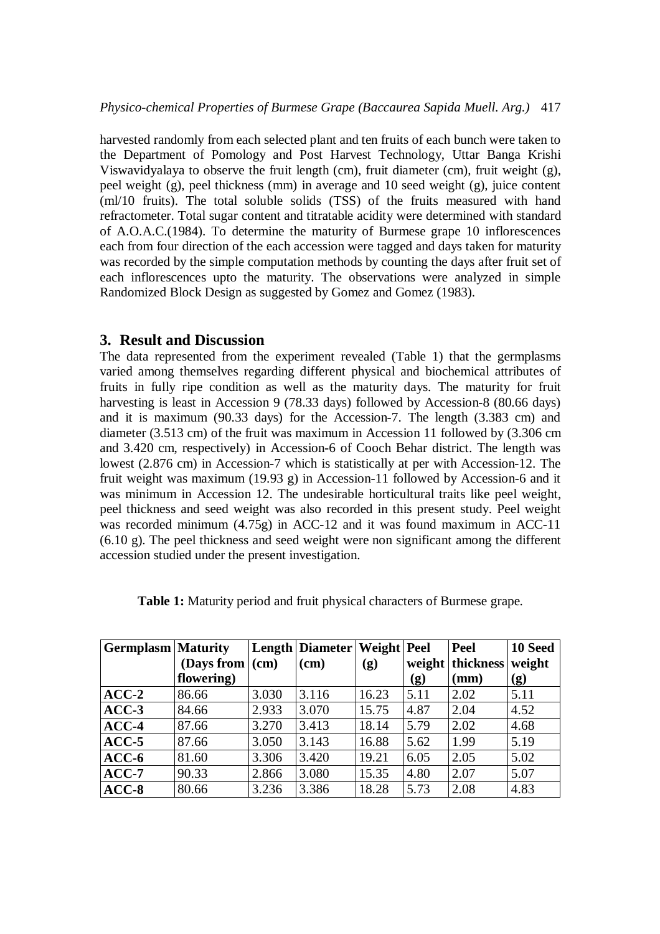harvested randomly from each selected plant and ten fruits of each bunch were taken to the Department of Pomology and Post Harvest Technology, Uttar Banga Krishi Viswavidyalaya to observe the fruit length (cm), fruit diameter (cm), fruit weight (g), peel weight (g), peel thickness (mm) in average and 10 seed weight (g), juice content (ml/10 fruits). The total soluble solids (TSS) of the fruits measured with hand refractometer. Total sugar content and titratable acidity were determined with standard of A.O.A.C.(1984). To determine the maturity of Burmese grape 10 inflorescences each from four direction of the each accession were tagged and days taken for maturity was recorded by the simple computation methods by counting the days after fruit set of each inflorescences upto the maturity. The observations were analyzed in simple Randomized Block Design as suggested by Gomez and Gomez (1983).

## **3. Result and Discussion**

The data represented from the experiment revealed (Table 1) that the germplasms varied among themselves regarding different physical and biochemical attributes of fruits in fully ripe condition as well as the maturity days. The maturity for fruit harvesting is least in Accession 9 (78.33 days) followed by Accession-8 (80.66 days) and it is maximum (90.33 days) for the Accession-7. The length (3.383 cm) and diameter (3.513 cm) of the fruit was maximum in Accession 11 followed by (3.306 cm and 3.420 cm, respectively) in Accession-6 of Cooch Behar district. The length was lowest (2.876 cm) in Accession-7 which is statistically at per with Accession-12. The fruit weight was maximum (19.93 g) in Accession-11 followed by Accession-6 and it was minimum in Accession 12. The undesirable horticultural traits like peel weight, peel thickness and seed weight was also recorded in this present study. Peel weight was recorded minimum (4.75g) in ACC-12 and it was found maximum in ACC-11 (6.10 g). The peel thickness and seed weight were non significant among the different accession studied under the present investigation.

| <b>Germplasm</b> Maturity |                         |       | Length   Diameter   Weight   Peel |       |                            | Peel             | 10 Seed |
|---------------------------|-------------------------|-------|-----------------------------------|-------|----------------------------|------------------|---------|
|                           | (Days from $\vert$ (cm) |       | (cm)                              | (g)   |                            | weight thickness | weight  |
|                           | flowering)              |       |                                   |       | $\left( \mathbf{g}\right)$ | (mm)             | (g)     |
| $ACC-2$                   | 86.66                   | 3.030 | 3.116                             | 16.23 | 5.11                       | 2.02             | 5.11    |
| $ACC-3$                   | 84.66                   | 2.933 | 3.070                             | 15.75 | 4.87                       | 2.04             | 4.52    |
| $ACC-4$                   | 87.66                   | 3.270 | 3.413                             | 18.14 | 5.79                       | 2.02             | 4.68    |
| $ACC-5$                   | 87.66                   | 3.050 | 3.143                             | 16.88 | 5.62                       | 1.99             | 5.19    |
| $ACC-6$                   | 81.60                   | 3.306 | 3.420                             | 19.21 | 6.05                       | 2.05             | 5.02    |
| $ACC-7$                   | 90.33                   | 2.866 | 3.080                             | 15.35 | 4.80                       | 2.07             | 5.07    |
| $ACC-8$                   | 80.66                   | 3.236 | 3.386                             | 18.28 | 5.73                       | 2.08             | 4.83    |

**Table 1:** Maturity period and fruit physical characters of Burmese grape.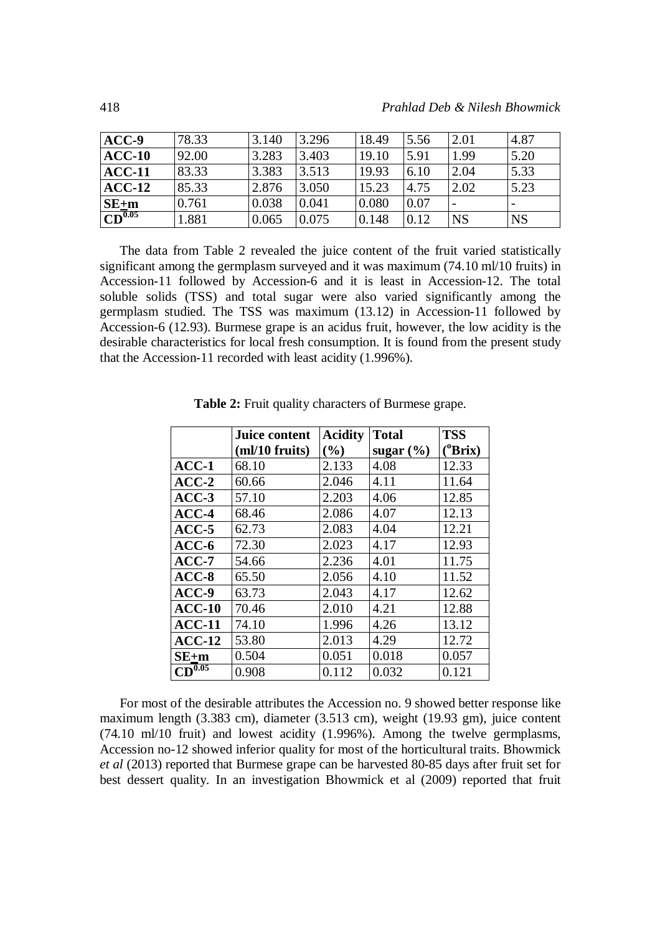| $ACC-9$            | 78.33 | 3.140 | 3.296 | 18.49 | 5.56 | 2.01      | 4.87      |
|--------------------|-------|-------|-------|-------|------|-----------|-----------|
| $ACC-10$           | 92.00 | 3.283 | 3.403 | 19.10 | 5.91 | 1.99      | 5.20      |
| $ACC-11$           | 83.33 | 3.383 | 3.513 | 19.93 | 6.10 | 2.04      | 5.33      |
| $ACC-12$           | 85.33 | 2.876 | 3.050 | 15.23 | 4.75 | 2.02      | 5.23      |
| $SE+m$             | 0.761 | 0.038 | 0.041 | 0.080 | 0.07 |           |           |
| CD <sup>0.05</sup> | 1.881 | 0.065 | 0.075 | 0.148 | 0.12 | <b>NS</b> | <b>NS</b> |

The data from Table 2 revealed the juice content of the fruit varied statistically significant among the germplasm surveyed and it was maximum (74.10 ml/10 fruits) in Accession-11 followed by Accession-6 and it is least in Accession-12. The total soluble solids (TSS) and total sugar were also varied significantly among the germplasm studied. The TSS was maximum (13.12) in Accession-11 followed by Accession-6 (12.93). Burmese grape is an acidus fruit, however, the low acidity is the desirable characteristics for local fresh consumption. It is found from the present study that the Accession-11 recorded with least acidity (1.996%).

|             | <b>Juice content</b> | <b>Acidity</b>               | <b>Total</b>  | <b>TSS</b>         |
|-------------|----------------------|------------------------------|---------------|--------------------|
|             | (ml/10 fruits)       | $\left( \frac{0}{0} \right)$ | sugar $(\% )$ | <sup>o</sup> Brix) |
| $ACC-1$     | 68.10                | 2.133                        | 4.08          | 12.33              |
| $ACC-2$     | 60.66                | 2.046                        | 4.11          | 11.64              |
| $ACC-3$     | 57.10                | 2.203                        | 4.06          | 12.85              |
| $ACC-4$     | 68.46                | 2.086                        | 4.07          | 12.13              |
| $ACC-5$     | 62.73                | 2.083                        | 4.04          | 12.21              |
| $ACC-6$     | 72.30                | 2.023                        | 4.17          | 12.93              |
| $ACC-7$     | 54.66                | 2.236                        | 4.01          | 11.75              |
| $ACC-8$     | 65.50                | 2.056                        | 4.10          | 11.52              |
| $ACC-9$     | 63.73                | 2.043                        | 4.17          | 12.62              |
| $ACC-10$    | 70.46                | 2.010                        | 4.21          | 12.88              |
| $ACC-11$    | 74.10                | 1.996                        | 4.26          | 13.12              |
| $ACC-12$    | 53.80                | 2.013                        | 4.29          | 12.72              |
| $SE+m$      | 0.504                | 0.051                        | 0.018         | 0.057              |
| $CD^{0.05}$ | 0.908                | 0.112                        | 0.032         | 0.121              |

**Table 2:** Fruit quality characters of Burmese grape.

For most of the desirable attributes the Accession no. 9 showed better response like maximum length (3.383 cm), diameter (3.513 cm), weight (19.93 gm), juice content (74.10 ml/10 fruit) and lowest acidity (1.996%). Among the twelve germplasms, Accession no-12 showed inferior quality for most of the horticultural traits. Bhowmick *et al* (2013) reported that Burmese grape can be harvested 80-85 days after fruit set for best dessert quality. In an investigation Bhowmick et al (2009) reported that fruit